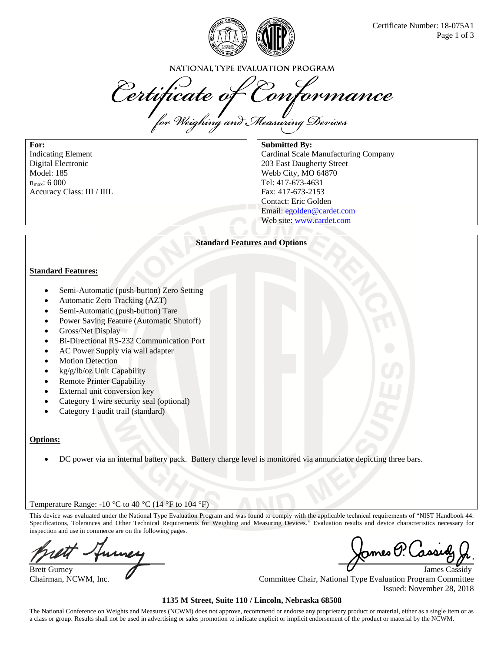

NATIONAL TYPE EVALUATION PROGRAM

Certificate of Conformance

**For:** Indicating Element Digital Electronic Model: 185  $n_{\rm max}$ : 6 000 Accuracy Class: III / IIIL

**Submitted By:** Cardinal Scale Manufacturing Company 203 East Daugherty Street Webb City, MO 64870 Tel: 417-673-4631 Fax: 417-673-2153 Contact: Eric Golden Email: egolden@cardet.com Web site: www.cardet.com

### **Standard Features and Options**

#### **Standard Features:**

- Semi-Automatic (push-button) Zero Setting
- Automatic Zero Tracking (AZT)
- Semi-Automatic (push-button) Tare
- Power Saving Feature (Automatic Shutoff)
- Gross/Net Display
- Bi-Directional RS-232 Communication Port
- AC Power Supply via wall adapter
- **Motion Detection**
- kg/g/lb/oz Unit Capability
- **Remote Printer Capability**
- External unit conversion key
- Category 1 wire security seal (optional)
- Category 1 audit trail (standard)

#### **Options:**

• DC power via an internal battery pack. Battery charge level is monitored via annunciator depicting three bars.

#### Temperature Range: -10  $\degree$ C to 40  $\degree$ C (14  $\degree$ F to 104  $\degree$ F)

This device was evaluated under the National Type Evaluation Program and was found to comply with the applicable technical requirements of "NIST Handbook 44: Specifications, Tolerances and Other Technical Requirements for Weighing and Measuring Devices." Evaluation results and device characteristics necessary for inspection and use in commerce are on the following pages.

Brett Gurney **James Cassidy** James Cassidy

James P. Ca

Chairman, NCWM, Inc.  $\blacksquare$ Issued: November 28, 2018

#### **1135 M Street, Suite 110 / Lincoln, Nebraska 68508**

The National Conference on Weights and Measures (NCWM) does not approve, recommend or endorse any proprietary product or material, either as a single item or as a class or group. Results shall not be used in advertising or sales promotion to indicate explicit or implicit endorsement of the product or material by the NCWM.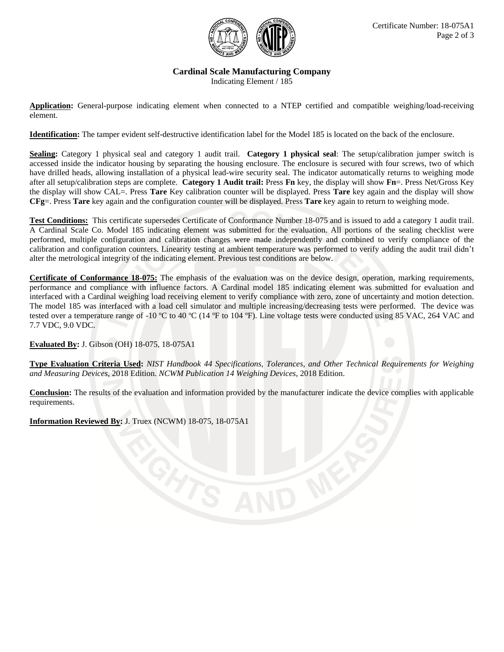

# **Cardinal Scale Manufacturing Company**

Indicating Element / 185

**Application:** General-purpose indicating element when connected to a NTEP certified and compatible weighing/load-receiving element.

**Identification:** The tamper evident self-destructive identification label for the Model 185 is located on the back of the enclosure.

**Sealing:** Category 1 physical seal and category 1 audit trail. **Category 1 physical seal**: The setup/calibration jumper switch is accessed inside the indicator housing by separating the housing enclosure. The enclosure is secured with four screws, two of which have drilled heads, allowing installation of a physical lead-wire security seal. The indicator automatically returns to weighing mode after all setup/calibration steps are complete. **Category 1 Audit trail:** Press **Fn** key, the display will show **Fn**=. Press Net/Gross Key the display will show CAL=. Press **Tare** Key calibration counter will be displayed. Press **Tare** key again and the display will show **CFg**=. Press **Tare** key again and the configuration counter will be displayed. Press **Tare** key again to return to weighing mode.

**Test Conditions:** This certificate supersedes Certificate of Conformance Number 18-075 and is issued to add a category 1 audit trail. A Cardinal Scale Co. Model 185 indicating element was submitted for the evaluation. All portions of the sealing checklist were performed, multiple configuration and calibration changes were made independently and combined to verify compliance of the calibration and configuration counters. Linearity testing at ambient temperature was performed to verify adding the audit trail didn't alter the metrological integrity of the indicating element. Previous test conditions are below.

**Certificate of Conformance 18-075:** The emphasis of the evaluation was on the device design, operation, marking requirements, performance and compliance with influence factors. A Cardinal model 185 indicating element was submitted for evaluation and interfaced with a Cardinal weighing load receiving element to verify compliance with zero, zone of uncertainty and motion detection. The model 185 was interfaced with a load cell simulator and multiple increasing/decreasing tests were performed. The device was tested over a temperature range of -10 ºC to 40 ºC (14 ºF to 104 ºF). Line voltage tests were conducted using 85 VAC, 264 VAC and 7.7 VDC, 9.0 VDC.

**Evaluated By:** J. Gibson (OH) 18-075, 18-075A1

**Type Evaluation Criteria Used:** *NIST Handbook 44 Specifications, Tolerances, and Other Technical Requirements for Weighing and Measuring Devices*, 2018 Edition. *NCWM Publication 14 Weighing Devices*, 2018 Edition.

**Conclusion:** The results of the evaluation and information provided by the manufacturer indicate the device complies with applicable requirements.

**Information Reviewed By:** J. Truex (NCWM) 18-075, 18-075A1